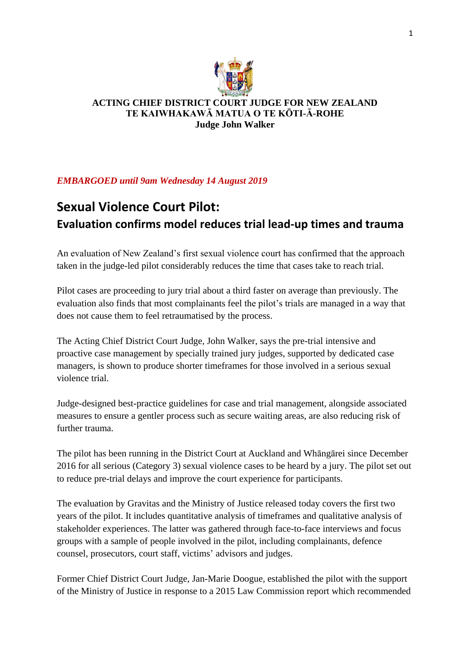

## **ACTING CHIEF DISTRICT COURT JUDGE FOR NEW ZEALAND TE KAIWHAKAWĀ MATUA O TE KŌTI-Ā-ROHE Judge John Walker**

## *EMBARGOED until 9am Wednesday 14 August 2019*

## **Sexual Violence Court Pilot: Evaluation confirms model reduces trial lead-up times and trauma**

An evaluation of New Zealand's first sexual violence court has confirmed that the approach taken in the judge-led pilot considerably reduces the time that cases take to reach trial.

Pilot cases are proceeding to jury trial about a third faster on average than previously. The evaluation also finds that most complainants feel the pilot's trials are managed in a way that does not cause them to feel retraumatised by the process.

The Acting Chief District Court Judge, John Walker, says the pre-trial intensive and proactive case management by specially trained jury judges, supported by dedicated case managers, is shown to produce shorter timeframes for those involved in a serious sexual violence trial.

Judge-designed best-practice guidelines for case and trial management, alongside associated measures to ensure a gentler process such as secure waiting areas, are also reducing risk of further trauma.

The pilot has been running in the District Court at Auckland and Whāngārei since December 2016 for all serious (Category 3) sexual violence cases to be heard by a jury. The pilot set out to reduce pre-trial delays and improve the court experience for participants.

The evaluation by Gravitas and the Ministry of Justice released today covers the first two years of the pilot. It includes quantitative analysis of timeframes and qualitative analysis of stakeholder experiences. The latter was gathered through face-to-face interviews and focus groups with a sample of people involved in the pilot, including complainants, defence counsel, prosecutors, court staff, victims' advisors and judges.

Former Chief District Court Judge, Jan-Marie Doogue, established the pilot with the support of the Ministry of Justice in response to a 2015 Law Commission report which recommended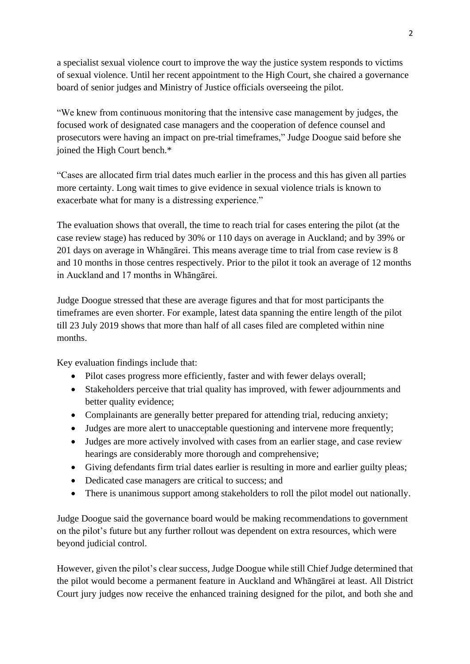a specialist sexual violence court to improve the way the justice system responds to victims of sexual violence. Until her recent appointment to the High Court, she chaired a governance board of senior judges and Ministry of Justice officials overseeing the pilot.

"We knew from continuous monitoring that the intensive case management by judges, the focused work of designated case managers and the cooperation of defence counsel and prosecutors were having an impact on pre-trial timeframes," Judge Doogue said before she joined the High Court bench.\*

"Cases are allocated firm trial dates much earlier in the process and this has given all parties more certainty. Long wait times to give evidence in sexual violence trials is known to exacerbate what for many is a distressing experience."

The evaluation shows that overall, the time to reach trial for cases entering the pilot (at the case review stage) has reduced by 30% or 110 days on average in Auckland; and by 39% or 201 days on average in Whāngārei. This means average time to trial from case review is 8 and 10 months in those centres respectively. Prior to the pilot it took an average of 12 months in Auckland and 17 months in Whāngārei.

Judge Doogue stressed that these are average figures and that for most participants the timeframes are even shorter. For example, latest data spanning the entire length of the pilot till 23 July 2019 shows that more than half of all cases filed are completed within nine months.

Key evaluation findings include that:

- Pilot cases progress more efficiently, faster and with fewer delays overall:
- Stakeholders perceive that trial quality has improved, with fewer adjournments and better quality evidence;
- Complainants are generally better prepared for attending trial, reducing anxiety;
- Judges are more alert to unacceptable questioning and intervene more frequently;
- Judges are more actively involved with cases from an earlier stage, and case review hearings are considerably more thorough and comprehensive;
- Giving defendants firm trial dates earlier is resulting in more and earlier guilty pleas;
- Dedicated case managers are critical to success; and
- There is unanimous support among stakeholders to roll the pilot model out nationally.

Judge Doogue said the governance board would be making recommendations to government on the pilot's future but any further rollout was dependent on extra resources, which were beyond judicial control.

However, given the pilot's clear success, Judge Doogue while still Chief Judge determined that the pilot would become a permanent feature in Auckland and Whāngārei at least. All District Court jury judges now receive the enhanced training designed for the pilot, and both she and